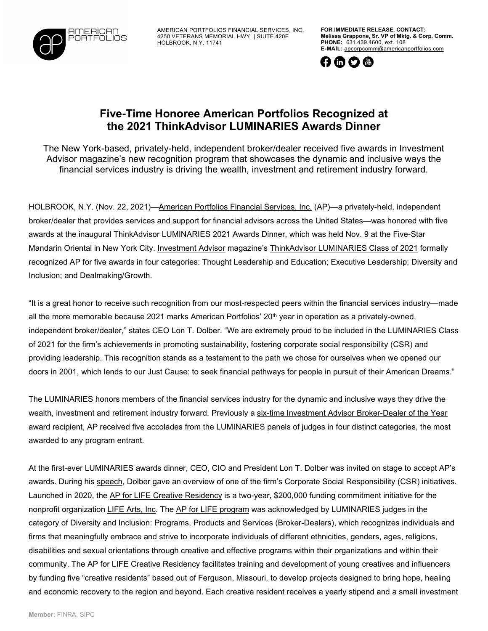

AMERICAN PORTFOLIOS FINANCIAL SERVICES, INC. 4250 VETERANS MEMORIAL HWY. | SUITE 420E HOLBROOK, N.Y. 11741

**FOR IMMEDIATE RELEASE, CONTACT: Melissa Grappone, Sr. VP of Mktg. & Corp. Comm. PHONE:** 631.439.4600, ext. 108 **E-MAIL:** [apcorpcomm@americanportfolios.com](mailto:apcorpcomm@americanportfolios.com)



## **Five-Time Honoree American Portfolios Recognized at the 2021 ThinkAdvisor LUMINARIES Awards Dinner**

The New York-based, privately-held, independent broker/dealer received five awards in Investment Advisor magazine's new recognition program that showcases the dynamic and inclusive ways the financial services industry is driving the wealth, investment and retirement industry forward.

HOLBROOK, N.Y. (Nov. 22, 2021)[—American](http://www.americanportfolios.com/) Portfolios Financial Services, Inc. (AP)—a privately-held, independent broker/dealer that provides services and support for financial advisors across the United States—was honored with five awards at the inaugural ThinkAdvisor LUMINARIES 2021 Awards Dinner, which was held Nov. 9 at the Five-Star Mandarin Oriental in New York City. [Investment](https://www.thinkadvisor.com/investment-advisor/issue-gallery/) Advisor magazine's ThinkAdvisor [LUMINARIES](https://www.thinkadvisor.com/luminaries-awards/) Class of 2021 formally recognized AP for five awards in four categories: Thought Leadership and Education; Executive Leadership; Diversity and Inclusion; and Dealmaking/Growth.

"It is a great honor to receive such recognition from our most-respected peers within the financial services industry—made all the more memorable because 2021 marks American Portfolios' 20<sup>th</sup> year in operation as a privately-owned, independent broker/dealer," states CEO Lon T. Dolber. "We are extremely proud to be included in the LUMINARIES Class of 2021 for the firm's achievements in promoting sustainability, fostering corporate social responsibility (CSR) and providing leadership. This recognition stands as a testament to the path we chose for ourselves when we opened our doors in 2001, which lends to our Just Cause: to seek financial pathways for people in pursuit of their American Dreams."

The LUMINARIES honors members of the financial services industry for the dynamic and inclusive ways they drive the wealth, investment and retirement industry forward. Previously a six-time Investment Advisor [Broker-Dealer](https://www.americanportfolios.com/news_item/american-portfolios-financial-services-inc-named-2020-broker-dealer-of-the-year-by-investment-advisor-magazine-for-the-sixth-year-in-a-row/) of the Year award recipient, AP received five accolades from the LUMINARIES panels of judges in four distinct categories, the most awarded to any program entrant.

At the first-ever LUMINARIES awards dinner, CEO, CIO and President Lon T. Dolber was invited on stage to accept AP's awards. During his [speech,](https://www.youtube.com/watch?v=nNAQuDNZOjQ) Dolber gave an overview of one of the firm's Corporate Social Responsibility (CSR) initiatives. Launched in 2020, the AP for LIFE Creative [Residency](https://www.americanportfolios.com/news_item/american-portfolios-announces-two-year-funding-commitment-to-benefit-life-arts-mission-to-foster-fergusons-youth-and-creative-entrepreneurs/) is a two-year, \$200,000 funding commitment initiative for the nonprofit organization [LIFE](https://www.lifecreativegroup.org/) Arts, Inc. The AP for LIFE [program](https://www.lifecreative.org/apforlife) was acknowledged by LUMINARIES judges in the category of Diversity and Inclusion: Programs, Products and Services (Broker-Dealers), which recognizes individuals and firms that meaningfully embrace and strive to incorporate individuals of different ethnicities, genders, ages, religions, disabilities and sexual orientations through creative and effective programs within their organizations and within their community. The AP for LIFE Creative Residency facilitates training and development of young creatives and influencers by funding five "creative residents" based out of Ferguson, Missouri, to develop projects designed to bring hope, healing and economic recovery to the region and beyond. Each creative resident receives a yearly stipend and a small investment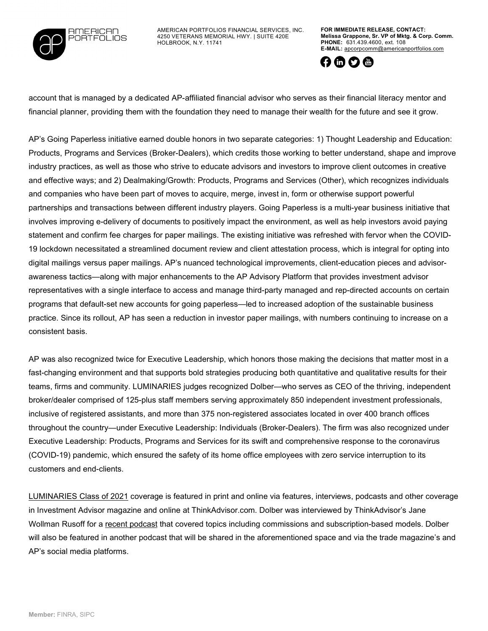

AMERICAN PORTFOLIOS FINANCIAL SERVICES, INC. 4250 VETERANS MEMORIAL HWY. | SUITE 420E HOLBROOK, N.Y. 11741

**FOR IMMEDIATE RELEASE, CONTACT: Melissa Grappone, Sr. VP of Mktg. & Corp. Comm. PHONE:** 631.439.4600, ext. 108 **E-MAIL:** [apcorpcomm@americanportfolios.com](mailto:apcorpcomm@americanportfolios.com)



account that is managed by a dedicated AP-affiliated financial advisor who serves as their financial literacy mentor and financial planner, providing them with the foundation they need to manage their wealth for the future and see it grow.

AP's Going Paperless initiative earned double honors in two separate categories: 1) Thought Leadership and Education: Products, Programs and Services (Broker-Dealers), which credits those working to better understand, shape and improve industry practices, as well as those who strive to educate advisors and investors to improve client outcomes in creative and effective ways; and 2) Dealmaking/Growth: Products, Programs and Services (Other), which recognizes individuals and companies who have been part of moves to acquire, merge, invest in, form or otherwise support powerful partnerships and transactions between different industry players. Going Paperless is a multi-year business initiative that involves improving e-delivery of documents to positively impact the environment, as well as help investors avoid paying statement and confirm fee charges for paper mailings. The existing initiative was refreshed with fervor when the COVID-19 lockdown necessitated a streamlined document review and client attestation process, which is integral for opting into digital mailings versus paper mailings. AP's nuanced technological improvements, client-education pieces and advisorawareness tactics—along with major enhancements to the AP Advisory Platform that provides investment advisor representatives with a single interface to access and manage third-party managed and rep-directed accounts on certain programs that default-set new accounts for going paperless—led to increased adoption of the sustainable business practice. Since its rollout, AP has seen a reduction in investor paper mailings, with numbers continuing to increase on a consistent basis.

AP was also recognized twice for Executive Leadership, which honors those making the decisions that matter most in a fast-changing environment and that supports bold strategies producing both quantitative and qualitative results for their teams, firms and community. LUMINARIES judges recognized Dolber—who serves as CEO of the thriving, independent broker/dealer comprised of 125-plus staff members serving approximately 850 independent investment professionals, inclusive of registered assistants, and more than 375 non-registered associates located in over 400 branch offices throughout the country—under Executive Leadership: Individuals (Broker-Dealers). The firm was also recognized under Executive Leadership: Products, Programs and Services for its swift and comprehensive response to the coronavirus (COVID-19) pandemic, which ensured the safety of its home office employees with zero service interruption to its customers and end-clients.

[LUMINARIES](https://www.thinkadvisor.com/luminaries-awards/) Class of 2021 coverage is featured in print and online via features, interviews, podcasts and other coverage in Investment Advisor magazine and online at ThinkAdvisor.com. Dolber was interviewed by ThinkAdvisor's Jane Wollman Rusoff for a recent [podcast](https://www.thinkadvisor.com/2021/11/17/commissions-will-be-gone-within-a-decade-american-portfolios-dolber/) that covered topics including commissions and subscription-based models. Dolber will also be featured in another podcast that will be shared in the aforementioned space and via the trade magazine's and AP's social media platforms.